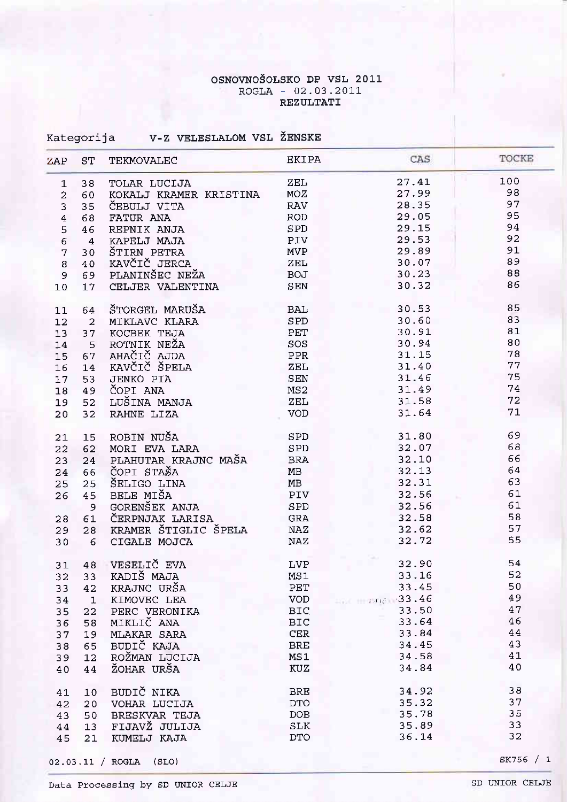#### OSNOVNOŠOLSKO DP VSL 2011 ROGLA - 02.03.2011 REZULTATI

| Kategorija |  | V-Z VELESLALOM VSL ŽENSKE |  |  |
|------------|--|---------------------------|--|--|
|------------|--|---------------------------|--|--|

| ZAP            | ST                      | TEKMOVALEC             | <b>EKIPA</b> | CAS                   | TOCKE  |
|----------------|-------------------------|------------------------|--------------|-----------------------|--------|
| $\mathbf{1}$   | 38                      | TOLAR LUCIJA           | ZEL          | 27.41                 | 100    |
| $\overline{a}$ | 60                      | KOKALJ KRAMER KRISTINA | MOZ          | 27.99                 | 98     |
| 3              | 35                      | ČEBULJ VITA            | <b>RAV</b>   | 28.35                 | 97     |
| $\overline{4}$ | 68                      | FATUR ANA              | ROD          | 29.05                 | 95     |
| 5              | 46                      | REPNIK ANJA            | SPD          | 29.15                 | 94     |
| 6              | $\overline{\mathbf{4}}$ | KAPELJ MAJA            | PIV          | 29.53                 | 92     |
| 7              | 30                      | ŠTIRN PETRA            | <b>MVP</b>   | 29.89                 | 91     |
| 8              | 40                      | KAVČIČ JERCA           | ZEL          | 30.07                 | 89     |
| 9              | 69                      | PLANINŠEC NEŽA         | <b>BOJ</b>   | 30.23                 | 88     |
| 10             | 17                      | CELJER VALENTINA       | SEN          | 30.32                 | 86     |
|                |                         |                        |              |                       |        |
| 11             | 64                      | ŠTORGEL MARUŠA         | BAL          | 30.53                 | 85     |
| 12             | $\overline{a}$          | MIKLAVC KLARA          | SPD          | 30.60                 | 83     |
| 13             | 37                      | KOCBEK TEJA            | PET          | 30.91                 | 81     |
| 14             | 5                       | ROTNIK NEŽA            | SOS          | 30.94                 | 80     |
| 15             | 67                      | AHAČIČ AJDA            | PPR          | 31.15                 | 78     |
| 16             | 14                      | KAVČIČ ŠPELA           | ZEL          | 31.40                 | 77     |
| 17             | 53                      | <b>JENKO PIA</b>       | SEN          | 31.46                 | 75     |
| 18             | 49                      | ČOPI ANA               | MS2          | 31.49                 | 74     |
| 19             | 52                      | LUŠINA MANJA           | ZEL          | 31.58                 | 72     |
| 20             | 32                      | RAHNE LIZA             | <b>VOD</b>   | 31.64                 | 71     |
| 21             | 15                      | ROBIN NUŠA             | <b>SPD</b>   | 31.80                 | 69     |
| 22             | 62                      | MORI EVA LARA          | <b>SPD</b>   | 32.07                 | 68     |
|                |                         | PLAHUTAR KRAJNC MAŠA   | <b>BRA</b>   | 32.10                 | 66     |
| 23             | 24                      | ČOPI STAŠA             | MB           | 32.13                 | 64     |
| 24             | 66                      |                        | MB           | 32.31                 | 63     |
| 25             | 25                      | ŠELIGO LINA            |              |                       | 61     |
| 26             | 45                      | BELE MIŠA              | <b>PIV</b>   | 32.56                 |        |
|                | 9                       | GORENŠEK ANJA          | SPD          | 32.56                 | 61     |
| 28             | 61                      | ČERPNJAK LARISA        | ${\tt GRA}$  | 32.58                 | 58     |
| 29             | 28                      | KRAMER ŠTIGLIC ŠPELA   | $\rm NAZ$    | 32.62                 | 57     |
| 30             | 6                       | CIGALE MOJCA           | NAZ          | 32.72                 | 55     |
| 31             | 48                      | VESELIČ EVA            | <b>LVP</b>   | 32.90                 | 54     |
| 32             | 33                      | KADIŠ MAJA             | MS1          | 33.16                 | 52     |
| 33             | 42                      | KRAJNC URŠA            | PET          | 33.45                 | 50     |
| 34             | $\mathbf 1$             | KIMOVEC LEA            | <b>VOD</b>   | <b>170 1710 33.46</b> | 49     |
| 35             | 22                      | PERC VERONIKA          | <b>BIC</b>   | 33.50                 | 47     |
| 36             | 58                      | MIKLIČ ANA             | <b>BIC</b>   | 33.64                 | 46     |
| 37             | 19                      | MLAKAR SARA            | CER          | 33.84                 | $4\,4$ |
| 38             | 65                      | BUDIČ KAJA             | <b>BRE</b>   | 34.45                 | 43     |
| 39             | 12                      | ROŽMAN LUCIJA          | MS1          | 34.58                 | 41     |
| 40             | 44                      | ŽOHAR URŠA             | <b>KUZ</b>   | 34.84                 | 40     |
|                |                         |                        |              |                       |        |
| 41             | 10                      | BUDIČ NIKA             | <b>BRE</b>   | 34.92                 | 38     |
| 42             | 20                      | VOHAR LUCIJA           | <b>DTO</b>   | 35.32                 | 37     |
| 43             | 50                      | <b>BRESKVAR TEJA</b>   | DOB          | 35.78                 | 35     |
| 44             | 13                      | FIJAVŽ JULIJA          | SLK          | 35.89                 | 33     |
| 45             | 21                      | KUMELJ KAJA            | <b>DTO</b>   | 36.14                 | 32     |
|                |                         |                        |              |                       |        |

 $02.03.11 / ROGLA (SLO)$ 

SK756 / 1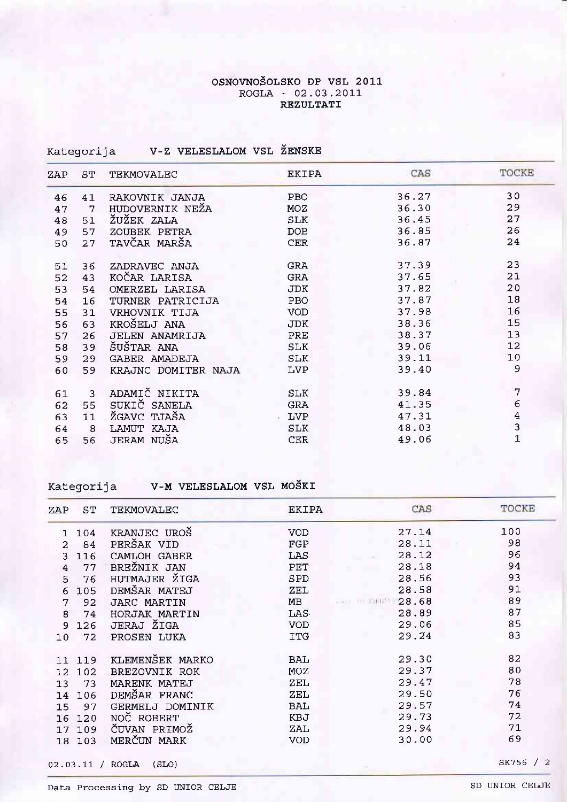### OSNOVNOŠOLSKO DP VSL 2011 ROGLA - 02.03.2011 REZULTATI

| Kategorija |  | V-Z VELESLALOM VSL ŽENSKE |  |  |
|------------|--|---------------------------|--|--|
|------------|--|---------------------------|--|--|

| ZAP | SТ | TEKMOVALEC            | <b>EKIPA</b> | CAS   | TOCKE           |
|-----|----|-----------------------|--------------|-------|-----------------|
| 46  | 41 | RAKOVNIK JANJA        | PBO          | 36.27 | 30              |
| 47  | 7  | HUDOVERNIK NEŽA       | <b>MOZ</b>   | 36.30 | 29              |
| 48  | 51 | ŽUŽEK ZALA            | SLK          | 36.45 | 27              |
| 49  | 57 | ZOUBEK PETRA          | <b>DOB</b>   | 36.85 | 26              |
| 50  | 27 | TAVČAR MARŠA          | <b>CER</b>   | 36.87 | 24              |
| 51  | 36 | ZADRAVEC ANJA         | <b>GRA</b>   | 37.39 | 23              |
| 52  | 43 | KOČAR LARISA          | <b>GRA</b>   | 37.65 | 21              |
| 53  | 54 | OMERZEL LARISA        | <b>JDK</b>   | 37.82 | 20              |
| 54  | 16 | TURNER PATRICIJA      | PBO          | 37.87 | 18              |
| 55  | 31 | VRHOVNIK TIJA         | <b>VOD</b>   | 37.98 | 16              |
| 56  | 63 | KROŠELJ ANA           | <b>JDK</b>   | 38.36 | 15              |
| 57  | 26 | <b>JELEN ANAMRIJA</b> | PRE          | 38.37 | 13              |
| 58  | 39 | ŠUŠTAR ANA            | SLK          | 39.06 | 12              |
| 59  | 29 | GABER AMADEJA         | SLK          | 39.11 | 10 <sub>1</sub> |
| 60  | 59 | KRAJNC DOMITER NAJA   | LVP          | 39.40 | 9               |
| 61  | 3  | ADAMIČ NIKITA         | SLK          | 39.84 | 7               |
| 62  | 55 | SUKIČ SANELA          | <b>GRA</b>   | 41.35 | 6               |
| 63  | 11 | ŽGAVC TJAŠA           | <b>LVP</b>   | 47.31 | $\overline{4}$  |
| 64  | 8  | LAMUT KAJA            | <b>SLK</b>   | 48.03 | 3               |
| 65  | 56 | JERAM NUŠA            | <b>CER</b>   | 49.06 | $\overline{1}$  |
|     |    |                       |              |       |                 |

Kategorija V-M VELESLALOM VSL MOŠKI

| ZAP     | SТ   | TEKMOVALEC      | EKIPA      | <b>CAS</b>                 | TOCKE |
|---------|------|-----------------|------------|----------------------------|-------|
|         | 104  | KRANJEC UROŠ    | <b>VOD</b> | 27.14                      | 100   |
| 2       | 84   | PERŠAK VID      | FGP        | 28.11                      | 98    |
| ٦       | 116  | CAMLOH GABER    | LAS        | 28.12                      | 96    |
| 4       | 77   | BREŽNIK JAN     | PET        | 28.18                      | 94    |
| 5       | 76   | HUTMAJER ŽIGA   | SPD        | 28.56                      | 93    |
| 6       | 105  | DEMŠAR MATEJ    | ZEL        | 28.58                      | 91    |
| 7       | 92   | JARC MARTIN     | MB         | 111222.68<br>$-16.5 + 1.7$ | 89    |
| 8       | 74   | HORJAK MARTIN   | LAS.       | 28.89                      | 87    |
| 9       | 126  | JERAJ ŽIGA      | <b>VOD</b> | 29.06                      | 85    |
| $10 \,$ | 72   | PROSEN LUKA     | ITG        | 29.24                      | 83    |
|         |      |                 |            |                            |       |
| 11      | 119  | KLEMENŠEK MARKO | <b>BAL</b> | 29.30                      | 82    |
| 12      | 102. | BREZOVNIK ROK   | MOZ        | 29.37                      | 80    |
| 13      | 73   | MARENK MATEJ    | ZEL        | 29.47                      | 78    |
| 14      | 106  | DEMŠAR FRANC    | ZEL        | 29.50                      | 76    |
| 15      | 97   | GERMELJ DOMINIK | <b>BAL</b> | 29.57                      | 74    |
| 16      | 120  | NOČ ROBERT      | KBJ        | 29.73                      | 72    |
| 17      | 109  | ČUVAN PRIMOŽ    | ZAL        | 29.94                      | 71    |
| 18      | 103  | MERČUN MARK     | <b>VOD</b> | 30.00                      | 69    |
|         |      |                 |            |                            |       |

02.03.11 / ROGLA (SLO)

SK756 / 2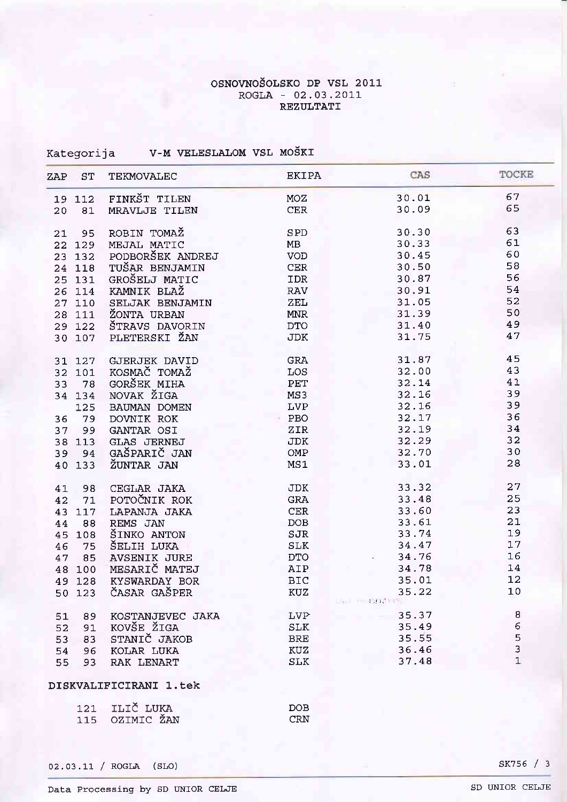# OSNOVNOŠOLSKO DP VSL 2011 ROGLA - 02.03.2011<br>REZULTATI

| V-M VELESLALOM VSL MOSKI | Kategorija |  |  |  |  |
|--------------------------|------------|--|--|--|--|
|--------------------------|------------|--|--|--|--|

| ZAP | ST     | <b>TEKMOVALEC</b>      | <b>EKIPA</b> | CAS                                        | TOCKE          |
|-----|--------|------------------------|--------------|--------------------------------------------|----------------|
|     | 19 112 | FINKŠT TILEN           | <b>MOZ</b>   | 30.01                                      | 67             |
| 20  | 81     | <b>MRAVLJE TILEN</b>   | CER          | 30.09                                      | 65             |
| 21  | 95     | ROBIN TOMAŽ            | SPD          | 30.30                                      | 63             |
|     | 22 129 | MEJAL MATIC            | MB           | 30.33                                      | 61             |
|     | 23 132 | PODBORŠEK ANDREJ       | VOD          | 30.45                                      | 60             |
|     | 24 118 | TUŠAR BENJAMIN         | CER          | 30.50                                      | 58             |
|     | 25 131 | GROŠELJ MATIC          | <b>IDR</b>   | 30.87                                      | 56             |
|     | 26 114 | KAMNIK BLAŽ            | RAV          | 30.91                                      | 54             |
|     | 27 110 | SELJAK BENJAMIN        | ZEL          | 31.05                                      | 52             |
|     | 28 111 | ŽONTA URBAN            | <b>MNR</b>   | 31.39                                      | 50             |
|     | 29 122 | ŠTRAVS DAVORIN         | <b>DTO</b>   | 31.40                                      | 49             |
|     | 30 107 | PLETERSKI ŽAN          | <b>JDK</b>   | 31.75                                      | 47             |
|     | 31 127 | <b>GJERJEK DAVID</b>   | GRA          | 31.87                                      | 45             |
|     | 32 101 | KOSMAČ TOMAŽ           | LOS          | 32.00                                      | 43             |
| 33  | 78     | GORŠEK MIHA            | PET          | 32.14                                      | 41             |
|     | 34 134 | NOVAK ŽIGA             | MS3          | 32.16                                      | 39             |
|     | 125    | BAUMAN DOMEN           | <b>LVP</b>   | 32.16                                      | 39             |
|     | 79     | DOVNIK ROK             | PBO          | 32.17                                      | 36             |
| 36  | 99     | GANTAR OSI             | ZIR          | 32.19                                      | 34             |
| 37  |        |                        |              | 32.29                                      | 32             |
|     | 38 113 | <b>GLAS JERNEJ</b>     | JDK          | 32.70                                      | 30             |
| 39  | 94     | GAŠPARIČ JAN           | OMP          |                                            |                |
|     | 40 133 | ŽUNTAR JAN             | MS1          | 33.01                                      | 28             |
| 41  | 98     | CEGLAR JAKA            | <b>JDK</b>   | 33.32                                      | 27             |
| 42  | 71     | POTOČNIK ROK           | <b>GRA</b>   | 33.48                                      | 25             |
|     | 43 117 | LAPANJA JAKA           | CER          | 33.60                                      | 23             |
| 44  | 88     | REMS JAN               | DOB          | 33.61                                      | 21             |
|     | 45 108 | ŠINKO ANTON            | SJR          | 33.74                                      | 19             |
| 46  | 75     | ŠELIH LUKA             | <b>SLK</b>   | 34.47                                      | 17             |
| 47  | 85     | <b>AVSENIK JURE</b>    | <b>DTO</b>   | 34.76                                      | 16             |
|     | 48 100 | MESARIČ MATEJ          | AIP          | 34.78                                      | 14             |
|     | 49 128 | KYSWARDAY BOR          | <b>BIC</b>   | 35.01                                      | 12             |
|     | 50 123 | ČASAR GAŠPER           | KUZ          | 35.22<br>the committee of the committee of | 10             |
| 51  | 89     | KOSTANJEVEC JAKA       | <b>LVP</b>   | 35.37                                      | 8              |
| 52  | 91     | KOVŠE ŽIGA             | <b>SLK</b>   | 35.49                                      | $\epsilon$     |
| 53  | 83     | STANIČ JAKOB           | <b>BRE</b>   | 35.55                                      | 5              |
| 54  | 96     | KOLAR LUKA             | KUZ          | 36.46                                      | 3              |
| 55  | 93     | RAK LENART             | <b>SLK</b>   | 37.48                                      | $\overline{1}$ |
|     |        | DISKVALIFICIRANI 1.tek |              |                                            |                |

| 121 ILIČ LUKA  | DOB.             |
|----------------|------------------|
| 115 OZIMIC ŽAN | CRN <sup>1</sup> |

02.03.11 / ROGLA (SLO)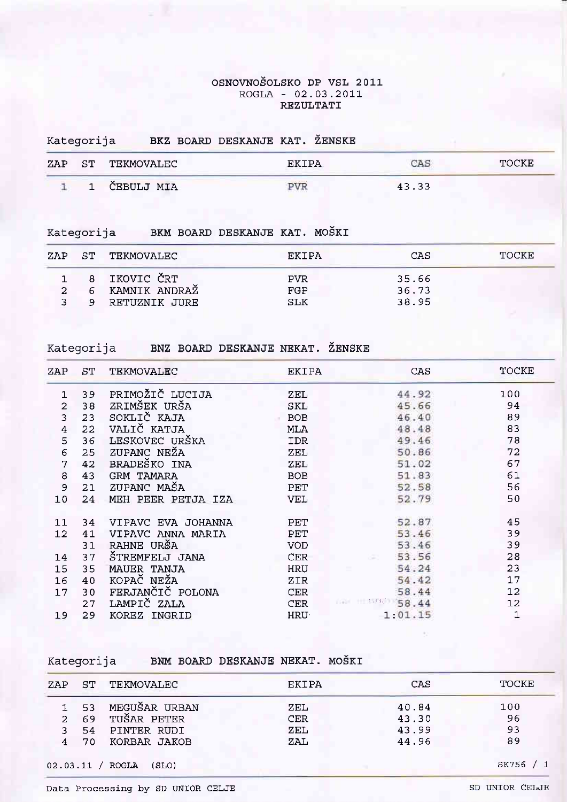#### OSNOVNOŠOLSKO DP VSL 2011  $ROGLA - 02.03.2011$ REZULTATI

#### BKZ BOARD DESKANJE KAT. ŽENSKE Kategorija

| ZAP | S <sub>T</sub> | TEKMOVALEC |      | TOCKE |
|-----|----------------|------------|------|-------|
|     |                | CEBULJ MIA | 43.3 |       |

Kategorija BKM BOARD DESKANJE KAT. MOŠKI

|               |   | ZAP ST TEKMOVALEC | FKTPA      | CAS   | TOCKE. |
|---------------|---|-------------------|------------|-------|--------|
|               |   | 8 IKOVIC ČRT      | <b>PVR</b> | 35.66 |        |
| $\mathcal{D}$ | 6 | KAMNIK ANDRAŽ     | FGP        | 36.73 |        |
| 3             |   | RETUZNIK JURE     | SLK        | 38.95 |        |

Kategorija BNZ BOARD DESKANJE NEKAT. ŽENSKE

| ZAP            | SТ | TEKMOVALEC         | <b>EKIPA</b> | <b>CAS</b> | TOCKE |
|----------------|----|--------------------|--------------|------------|-------|
|                | 39 | PRIMOŽIČ LUCIJA    | ZEL          | 44.92      | 100   |
| $\overline{a}$ | 38 | ZRIMŠEK URŠA       | SKL          | 45.66      | 94    |
| 3              | 23 | SOKLIČ KAJA        | <b>BOB</b>   | 46.40      | 89    |
| 4              | 22 | VALIČ KATJA        | MLA          | 48.48      | 83    |
| 5              | 36 | LESKOVEC URŠKA     | <b>IDR</b>   | 49.46      | 78    |
| $\epsilon$     | 25 | ZUPANC NEŽA        | ZEL          | 50.86      | 72    |
| 7              | 42 | BRADEŠKO INA       | ZEL          | 51.02      | 67    |
| 8              | 43 | <b>GRM TAMARA</b>  | <b>BOB</b>   | 51.83      | 61    |
| $\overline{9}$ | 21 | ZUPANC MAŠA        | PET          | 52.58      | 56    |
| 10             | 24 | MEH PEER PETJA IZA | <b>VEL</b>   | 52.79      | 50    |
|                |    |                    |              |            |       |
| 11             | 34 | VIPAVC EVA JOHANNA | PET          | 52.87      | 45    |
| 12             | 41 | VIPAVC ANNA MARIA  | PET          | 53.46      | 39    |
|                | 31 | RAHNE URŠA         | <b>VOD</b>   | 53.46      | 39    |
| 14             | 37 | ŠTREMFELJ JANA     | <b>CER</b>   | 53.56      | 28    |
| 15             | 35 | MAUER TANJA        | HRU          | 54.24      | 23    |
| 16             | 40 | KOPAČ NEŽA         | ZIR          | 54.42      | 17    |
| 17             | 30 | FERJANČIČ POLONA   | <b>CER</b>   | 58.44      | 12    |
|                | 27 | LAMPIČ ZALA        | <b>CER</b>   | 58.44      | 12    |
| 19             | 29 | KOREZ INGRID       | HRU·         | 1:01.15    | 1     |

Kategorija BNM BOARD DESKANJE NEKAT. MOŠKI

| ZAP            | ST.  | TEKMOVALEC         | EKIPA      | CAS   | TOCKE |
|----------------|------|--------------------|------------|-------|-------|
|                |      | 1 53 MEGUŠAR URBAN | ZEL        | 40.84 | 100   |
|                |      | 2 69 TUŠAR PETER   | <b>CER</b> | 43.30 | 96    |
| 3              | 54.  | PINTER RUDI        | ZEL        | 43.99 | 93    |
| $\overline{4}$ | - 70 | KORBAR JAKOB       | ZAL        | 44.96 | 89    |

02.03.11 / ROGLA (SLO)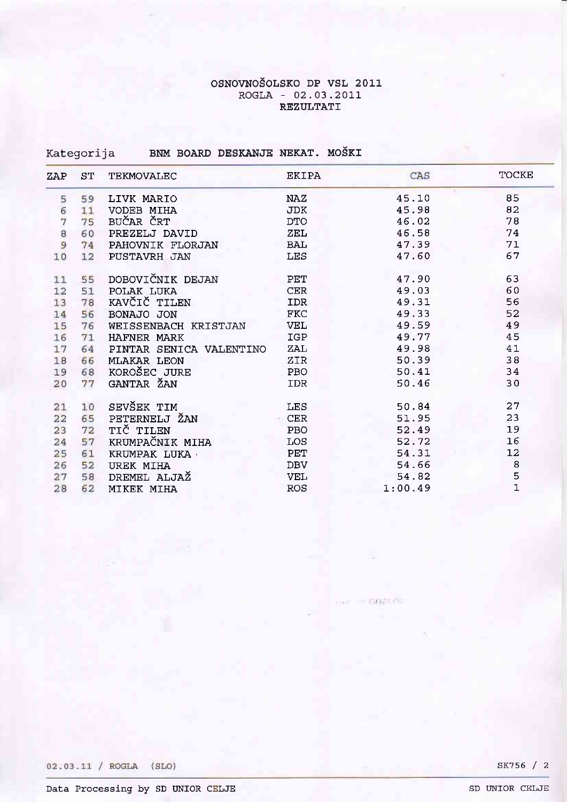# OSNOVNOŠOLSKO DP VSL 2011<br>ROGLA - 02.03.2011 REZULTATI

# Kategorija BNM BOARD DESKANJE NEKAT. MOŠKI

| ZAP | ST | TEKMOVALEC              | <b>EKIPA</b> | CAS     | TOCKE          |
|-----|----|-------------------------|--------------|---------|----------------|
| 5   | 59 | LIVK MARIO              | NAZ          | 45.10   | 85             |
| 6   | 11 | VODEB MIHA              | <b>JDK</b>   | 45.98   | 82             |
| 7   | 75 | BUČAR ČRT               | <b>DTO</b>   | 46.02   | 78             |
| 8   | 60 | PREZELJ DAVID           | ZEL          | 46.58   | 74             |
| 9   | 74 | PAHOVNIK FLORJAN        | <b>BAL</b>   | 47.39   | 71             |
| 10  | 12 | PUSTAVRH JAN            | LES          | 47.60   | 67             |
| 11  | 55 | DOBOVIČNIK DEJAN        | PET          | 47.90   | 63             |
| 12  | 51 | POLAK LUKA              | <b>CER</b>   | 49.03   | 60             |
| 13  | 78 | KAVČIČ TILEN            | <b>IDR</b>   | 49.31   | 56             |
| 14  | 56 | BONAJO JON              | <b>FKC</b>   | 49.33   | 52             |
| 15  | 76 | WEISSENBACH KRISTJAN    | <b>VEL</b>   | 49.59   | 49             |
| 16  | 71 | HAFNER MARK             | IGP          | 49.77   | 45             |
| 17  | 64 | PINTAR SENICA VALENTINO | ZAL          | 49.98   | 41             |
| 18  | 66 | <b>MLAKAR LEON</b>      | ZIR          | 50.39   | 38             |
| 19  | 68 | KOROŠEC JURE            | PBO          | 50.41   | 34             |
| 20  | 77 | GANTAR ŽAN              | <b>IDR</b>   | 50.46   | 30             |
| 21  | 10 | SEVŠEK TIM              | <b>LES</b>   | 50.84   | 27             |
| 22  | 65 | PETERNELJ ŽAN           | <b>CER</b>   | 51.95   | 23             |
| 23  | 72 | TIČ TILEN               | <b>PBO</b>   | 52.49   | 19             |
| 24  | 57 | KRUMPAČNIK MIHA         | LOS          | 52.72   | 16             |
| 25  | 61 | KRUMPAK LUKA            | PET          | 54.31   | 12             |
| 26  | 52 | <b>UREK MIHA</b>        | <b>DBV</b>   | 54.66   | 8              |
| 27  | 58 | DREMEL ALJAŽ            | <b>VEL</b>   | 54.82   | 5              |
| 28  | 62 | MIKEK MIHA              | <b>ROS</b>   | 1:00.49 | $\overline{1}$ |

There is management

02.03.11 / ROGLA (SLO)

SK756 / 2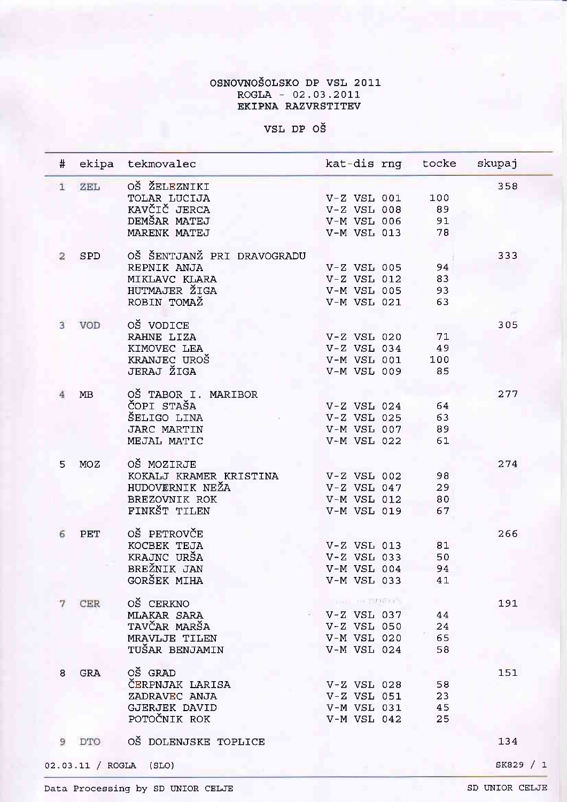# OSNOVNOŠOLSKO DP VSL 2011 ROGLA - 02.03.2011<br>EKIPNA RAZVRSTITEV

VSL DP OŠ

| #            |            | ekipa tekmovalec           | kat-dis rng tocke  |     | skupaj      |
|--------------|------------|----------------------------|--------------------|-----|-------------|
| $\mathbf{1}$ | ZEL        | OŠ ŽELEZNIKI               |                    |     | 358         |
|              |            | TOLAR LUCIJA               | $V-Z$ VSL 001      | 100 |             |
|              |            | KAVČIČ JERCA               | $V-Z$ VSL 008      | 89  |             |
|              |            | DEMŠAR MATEJ               | V-M VSL 006        | 91  |             |
|              |            | MARENK MATEJ               | V-M VSL 013        | 78  |             |
| 2            | SPD        | OŠ ŠENTJANŽ PRI DRAVOGRADU |                    |     | 333         |
|              |            | REPNIK ANJA                | V-Z VSL 005        | 94  |             |
|              |            | MIKLAVC KLARA              | $V-Z$ VSL 012      | 83  |             |
|              |            | HUTMAJER ŽIGA              | V-M VSL 005        | 93  |             |
|              |            | ROBIN TOMAŽ                | V-M VSL 021        | 63  |             |
|              |            |                            |                    |     |             |
| 3.           | VOD        | OŠ VODICE                  |                    |     | 305         |
|              |            | RAHNE LIZA                 | $V-Z$ VSL 020      | 71  |             |
|              |            | KIMOVEC LEA                | $V-Z$ VSL 034      | 49  |             |
|              |            | KRANJEC UROŠ               | V-M VSL 001        | 100 |             |
|              |            | JERAJ ŽIGA                 | <b>V-M VSL 009</b> | 85  |             |
|              |            |                            |                    |     |             |
|              | MB         | OŠ TABOR I. MARIBOR        |                    |     | 277         |
|              |            | ČOPI STAŠA                 | $V-Z$ VSL 024      | 64  |             |
|              |            |                            | $V-Z$ VSL 025      |     |             |
|              |            | ŠELIGO LINA                |                    | 63  |             |
|              |            | <b>JARC MARTIN</b>         | V-M VSL 007        | 89  |             |
|              |            | MEJAL MATIC                | V-M VSL 022        | 61  |             |
| 5            | MOZ        | OŠ MOZIRJE                 |                    |     | 274         |
|              |            | KOKALJ KRAMER KRISTINA     | $V-Z$ VSL 002      | 98  |             |
|              |            | HUDOVERNIK NEŽA            | $V-Z$ VSL 047      | 29  |             |
|              |            | BREZOVNIK ROK              | V-M VSL 012        | 80  |             |
|              |            | FINKŠT TILEN               | V-M VSL 019        | 67  |             |
|              |            |                            |                    |     |             |
| 6            | <b>PET</b> | OŠ PETROVČE                |                    |     | 266         |
|              |            | KOCBEK TEJA                | $V-Z$ VSL 013      | 81  |             |
|              |            | KRAJNC URŠA                | $V-Z$ VSL 033      | 50  |             |
|              |            | BREŽNIK JAN                | V-M VSL 004        | 94  |             |
|              |            | GORSEK MIHA                | V-M VSL 033        | 41  |             |
|              |            |                            |                    |     |             |
| 7            | CER        | OŠ CERKNO                  | <b>CONTRACTOR</b>  |     | 191         |
|              |            | MLAKAR SARA                | $V-Z$ VSL 037      | 44  |             |
|              |            | TAVČAR MARŠA               | V-Z VSL 050        | 24  |             |
|              |            | MRAVLJE TILEN              | V-M VSL 020        | 65  |             |
|              |            | TUŠAR BENJAMIN             | V-M VSL 024        | 58  |             |
|              |            |                            |                    |     |             |
| 8            | <b>GRA</b> | OŠ GRAD                    |                    |     | 151         |
|              |            | ČERPNJAK LARISA            | $V-Z$ VSL 028      | 58  |             |
|              |            | ZADRAVEC ANJA              | $V-Z$ VSL 051      | 23  |             |
|              |            | GJERJEK DAVID              | V-M VSL 031        | 45  |             |
|              |            | POTOČNIK ROK               | V-M VSL 042        | 25  |             |
|              |            |                            |                    |     |             |
| 9            | DTO        | OŠ DOLENJSKE TOPLICE       |                    |     | 134         |
|              |            | 2.03.11 / ROGLA (SLO)      |                    |     | SK829<br>/1 |

 $\circ$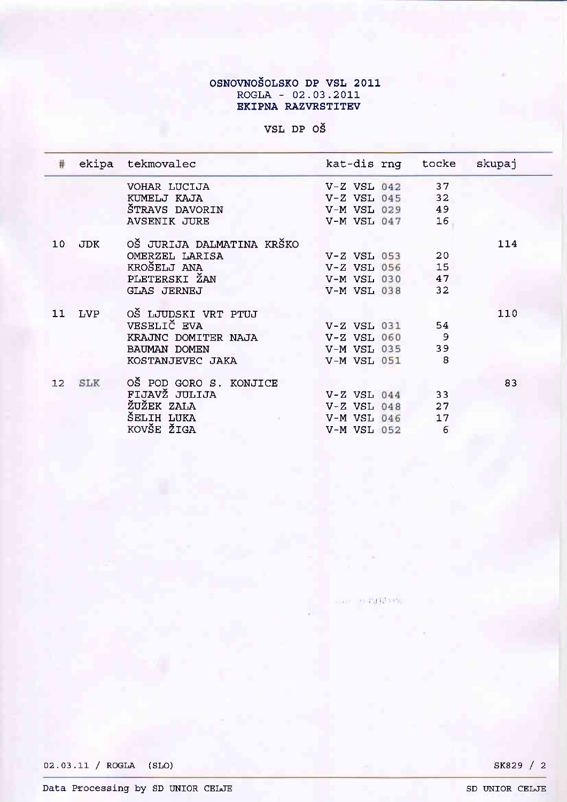# OSNOVNOŠOLSKO DP VSL 2011<br>ROGLA - 02.03.2011<br>EKIPNA RAZVRSTITEV

VSL DP OŠ

| #  |            | ekipa tekmovalec          | kat-dis rnq tocke  |    | skupaj |
|----|------------|---------------------------|--------------------|----|--------|
|    |            | VOHAR LUCIJA              | $V-Z$ VSL 042      | 37 |        |
|    |            | KUMELJ KAJA               | $V-Z$ VSL 045      | 32 |        |
|    |            | ŠTRAVS DAVORIN            | <b>V-M VSL 029</b> | 49 |        |
|    |            | <b>AVSENIK JURE</b>       | V-M VSL 047        | 16 |        |
| 10 | <b>JDK</b> | OŠ JURIJA DALMATINA KRŠKO |                    |    | 114    |
|    |            | OMERZEL LARISA            | $V-Z$ $VSL$ $053$  | 20 |        |
|    |            | KROŠELJ ANA               | $V-Z$ VSL 056      | 15 |        |
|    |            | PLETERSKI ŽAN             | V-M VSL 030 47     |    |        |
|    |            | <b>GLAS JERNEJ</b>        | V-M VSL 038        | 32 |        |
| 11 | <b>LVP</b> | OŠ LJUDSKI VRT PTUJ       |                    |    | 110    |
|    |            | VESELIČ EVA               | $V-Z$ $VSL$ $031$  | 54 |        |
|    |            | KRAJNC DOMITER NAJA       | V-Z VSL 060 9      |    |        |
|    |            | BAUMAN DOMEN              | V-M VSL 035        | 39 |        |
|    |            | KOSTANJEVEC JAKA          | V-M VSL 051        | 8  |        |
| 12 | SLK        | OŠ POD GORO S. KONJICE    |                    |    | 83     |
|    |            | FIJAVŽ JULIJA             | $V-Z$ VSL 044      | 33 |        |
|    |            | ŽUŽEK ZALA                | $V-Z$ $VSL$ $048$  | 27 |        |
|    |            | ŠELIH LUKA                | $V-M$ VSL $046$    | 17 |        |
|    |            | KOVŠE ŽIGA                | V-M VSL 052        | 6  |        |

THE FINENCE